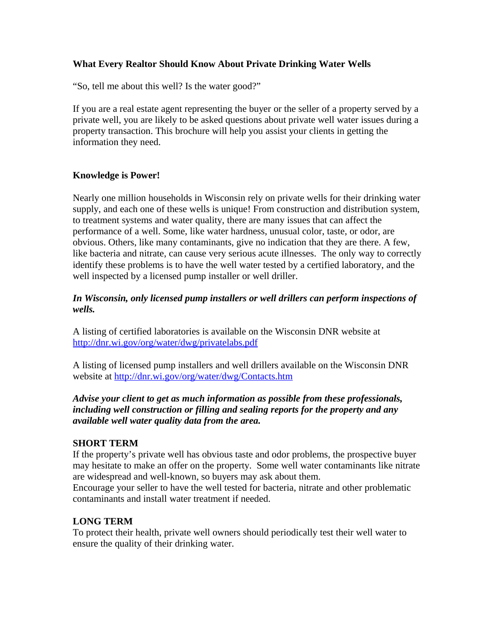## **What Every Realtor Should Know About Private Drinking Water Wells**

"So, tell me about this well? Is the water good?"

If you are a real estate agent representing the buyer or the seller of a property served by a private well, you are likely to be asked questions about private well water issues during a property transaction. This brochure will help you assist your clients in getting the information they need.

## **Knowledge is Power!**

Nearly one million households in Wisconsin rely on private wells for their drinking water supply, and each one of these wells is unique! From construction and distribution system, to treatment systems and water quality, there are many issues that can affect the performance of a well. Some, like water hardness, unusual color, taste, or odor, are obvious. Others, like many contaminants, give no indication that they are there. A few, like bacteria and nitrate, can cause very serious acute illnesses. The only way to correctly identify these problems is to have the well water tested by a certified laboratory, and the well inspected by a licensed pump installer or well driller.

## *In Wisconsin, only licensed pump installers or well drillers can perform inspections of wells.*

A listing of certified laboratories is available on the Wisconsin DNR website at <http://dnr.wi.gov/org/water/dwg/privatelabs.pdf>

A listing of licensed pump installers and well drillers available on the Wisconsin DNR website at<http://dnr.wi.gov/org/water/dwg/Contacts.htm>

## *Advise your client to get as much information as possible from these professionals, including well construction or filling and sealing reports for the property and any available well water quality data from the area.*

#### **SHORT TERM**

If the property's private well has obvious taste and odor problems, the prospective buyer may hesitate to make an offer on the property. Some well water contaminants like nitrate are widespread and well-known, so buyers may ask about them.

Encourage your seller to have the well tested for bacteria, nitrate and other problematic contaminants and install water treatment if needed.

#### **LONG TERM**

To protect their health, private well owners should periodically test their well water to ensure the quality of their drinking water.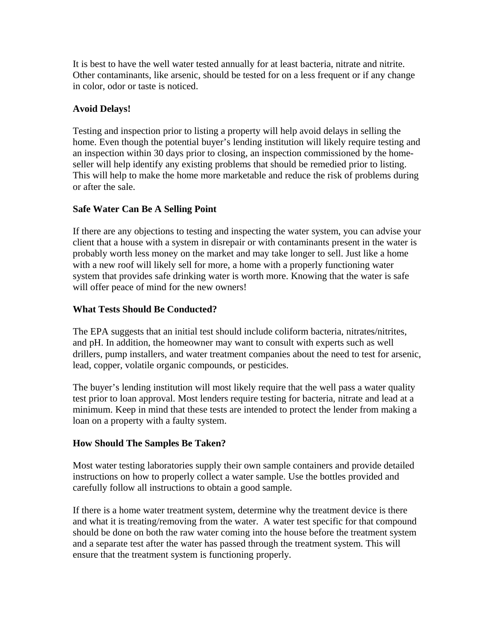It is best to have the well water tested annually for at least bacteria, nitrate and nitrite. Other contaminants, like arsenic, should be tested for on a less frequent or if any change in color, odor or taste is noticed.

# **Avoid Delays!**

Testing and inspection prior to listing a property will help avoid delays in selling the home. Even though the potential buyer's lending institution will likely require testing and an inspection within 30 days prior to closing, an inspection commissioned by the homeseller will help identify any existing problems that should be remedied prior to listing. This will help to make the home more marketable and reduce the risk of problems during or after the sale.

## **Safe Water Can Be A Selling Point**

If there are any objections to testing and inspecting the water system, you can advise your client that a house with a system in disrepair or with contaminants present in the water is probably worth less money on the market and may take longer to sell. Just like a home with a new roof will likely sell for more, a home with a properly functioning water system that provides safe drinking water is worth more. Knowing that the water is safe will offer peace of mind for the new owners!

## **What Tests Should Be Conducted?**

The EPA suggests that an initial test should include coliform bacteria, nitrates/nitrites, and pH. In addition, the homeowner may want to consult with experts such as well drillers, pump installers, and water treatment companies about the need to test for arsenic, lead, copper, volatile organic compounds, or pesticides.

The buyer's lending institution will most likely require that the well pass a water quality test prior to loan approval. Most lenders require testing for bacteria, nitrate and lead at a minimum. Keep in mind that these tests are intended to protect the lender from making a loan on a property with a faulty system.

## **How Should The Samples Be Taken?**

Most water testing laboratories supply their own sample containers and provide detailed instructions on how to properly collect a water sample. Use the bottles provided and carefully follow all instructions to obtain a good sample.

If there is a home water treatment system, determine why the treatment device is there and what it is treating/removing from the water. A water test specific for that compound should be done on both the raw water coming into the house before the treatment system and a separate test after the water has passed through the treatment system. This will ensure that the treatment system is functioning properly.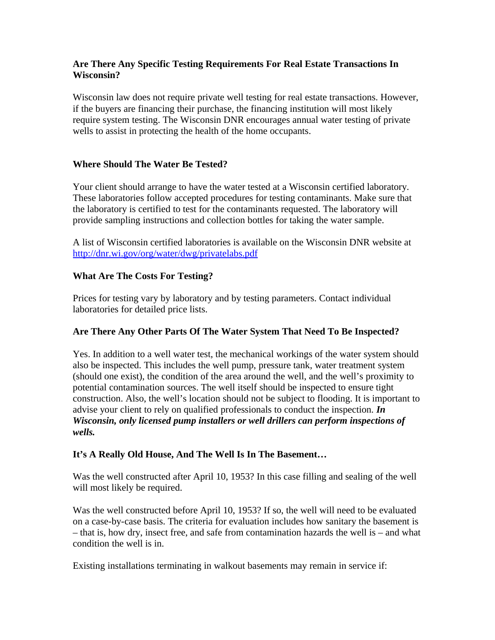## **Are There Any Specific Testing Requirements For Real Estate Transactions In Wisconsin?**

Wisconsin law does not require private well testing for real estate transactions. However, if the buyers are financing their purchase, the financing institution will most likely require system testing. The Wisconsin DNR encourages annual water testing of private wells to assist in protecting the health of the home occupants.

## **Where Should The Water Be Tested?**

Your client should arrange to have the water tested at a Wisconsin certified laboratory. These laboratories follow accepted procedures for testing contaminants. Make sure that the laboratory is certified to test for the contaminants requested. The laboratory will provide sampling instructions and collection bottles for taking the water sample.

A list of Wisconsin certified laboratories is available on the Wisconsin DNR website at <http://dnr.wi.gov/org/water/dwg/privatelabs.pdf>

## **What Are The Costs For Testing?**

Prices for testing vary by laboratory and by testing parameters. Contact individual laboratories for detailed price lists.

#### **Are There Any Other Parts Of The Water System That Need To Be Inspected?**

Yes. In addition to a well water test, the mechanical workings of the water system should also be inspected. This includes the well pump, pressure tank, water treatment system (should one exist), the condition of the area around the well, and the well's proximity to potential contamination sources. The well itself should be inspected to ensure tight construction. Also, the well's location should not be subject to flooding. It is important to advise your client to rely on qualified professionals to conduct the inspection. *In Wisconsin, only licensed pump installers or well drillers can perform inspections of wells.*

#### **It's A Really Old House, And The Well Is In The Basement…**

Was the well constructed after April 10, 1953? In this case filling and sealing of the well will most likely be required.

Was the well constructed before April 10, 1953? If so, the well will need to be evaluated on a case-by-case basis. The criteria for evaluation includes how sanitary the basement is – that is, how dry, insect free, and safe from contamination hazards the well is – and what condition the well is in.

Existing installations terminating in walkout basements may remain in service if: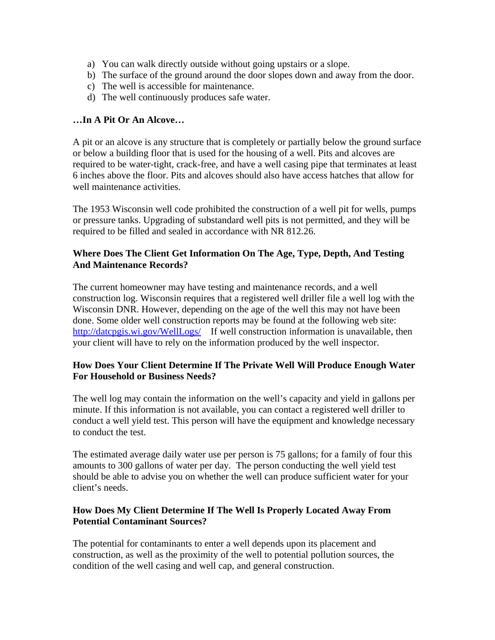- a) You can walk directly outside without going upstairs or a slope.
- b) The surface of the ground around the door slopes down and away from the door.
- c) The well is accessible for maintenance.
- d) The well continuously produces safe water.

## **…In A Pit Or An Alcove…**

A pit or an alcove is any structure that is completely or partially below the ground surface or below a building floor that is used for the housing of a well. Pits and alcoves are required to be water-tight, crack-free, and have a well casing pipe that terminates at least 6 inches above the floor. Pits and alcoves should also have access hatches that allow for well maintenance activities.

The 1953 Wisconsin well code prohibited the construction of a well pit for wells, pumps or pressure tanks. Upgrading of substandard well pits is not permitted, and they will be required to be filled and sealed in accordance with NR 812.26.

## **Where Does The Client Get Information On The Age, Type, Depth, And Testing And Maintenance Records?**

The current homeowner may have testing and maintenance records, and a well construction log. Wisconsin requires that a registered well driller file a well log with the Wisconsin DNR. However, depending on the age of the well this may not have been done. Some older well construction reports may be found at the following web site: <http://datcpgis.wi.gov/WellLogs/>If well construction information is unavailable, then your client will have to rely on the information produced by the well inspector.

## **How Does Your Client Determine If The Private Well Will Produce Enough Water For Household or Business Needs?**

The well log may contain the information on the well's capacity and yield in gallons per minute. If this information is not available, you can contact a registered well driller to conduct a well yield test. This person will have the equipment and knowledge necessary to conduct the test.

The estimated average daily water use per person is 75 gallons; for a family of four this amounts to 300 gallons of water per day. The person conducting the well yield test should be able to advise you on whether the well can produce sufficient water for your client's needs.

## **How Does My Client Determine If The Well Is Properly Located Away From Potential Contaminant Sources?**

The potential for contaminants to enter a well depends upon its placement and construction, as well as the proximity of the well to potential pollution sources, the condition of the well casing and well cap, and general construction.